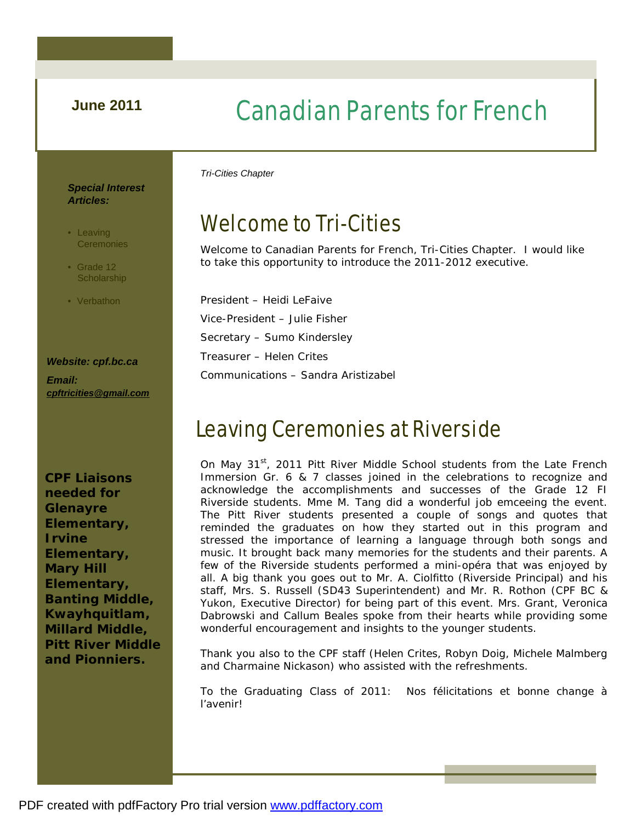# **June 2011** Canadian Parents for French

*Special Interest Articles:* 

- Leaving **Ceremonies**
- Grade 12 **Scholarship**
- Verbathon

*Website: cpf.bc.ca* 

*Email: [cpftricities@gmail.com](mailto:cpftricities@gmail.com)*

**CPF Liaisons needed for Glenayre Elementary, Irvine Elementary, Mary Hill Elementary, Banting Middle, Kwayhquitlam, Millard Middle, Pitt River Middle and Pionniers.** 

*Tri-Cities Chapter* 

## Welcome to Tri-Cities

Welcome to Canadian Parents for French, Tri-Cities Chapter. I would like to take this opportunity to introduce the 2011-2012 executive.

President – Heidi LeFaive Vice-President – Julie Fisher Secretary – Sumo Kindersley Treasurer – Helen Crites Communications – Sandra Aristizabel

## Leaving Ceremonies at Riverside

On May 31<sup>st</sup>, 2011 Pitt River Middle School students from the Late French Immersion Gr. 6 & 7 classes joined in the celebrations to recognize and acknowledge the accomplishments and successes of the Grade 12 FI Riverside students. Mme M. Tang did a wonderful job emceeing the event. The Pitt River students presented a couple of songs and quotes that reminded the graduates on how they started out in this program and stressed the importance of learning a language through both songs and music. It brought back many memories for the students and their parents. A few of the Riverside students performed a mini-opéra that was enjoyed by all. A big thank you goes out to Mr. A. Ciolfitto (Riverside Principal) and his staff, Mrs. S. Russell (SD43 Superintendent) and Mr. R. Rothon (CPF BC & Yukon, Executive Director) for being part of this event. Mrs. Grant, Veronica Dabrowski and Callum Beales spoke from their hearts while providing some wonderful encouragement and insights to the younger students.

Thank you also to the CPF staff (Helen Crites, Robyn Doig, Michele Malmberg and Charmaine Nickason) who assisted with the refreshments.

To the Graduating Class of 2011: Nos félicitations et bonne change à l'avenir!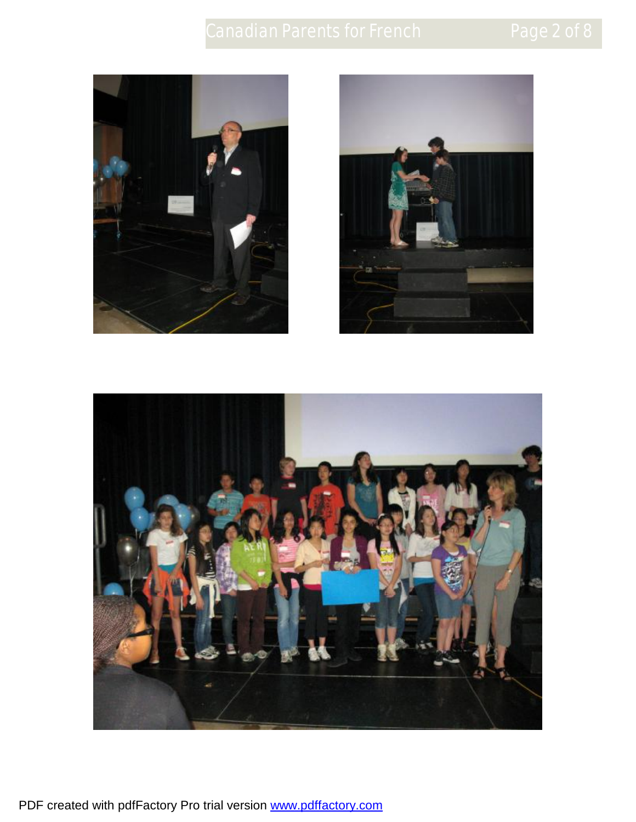



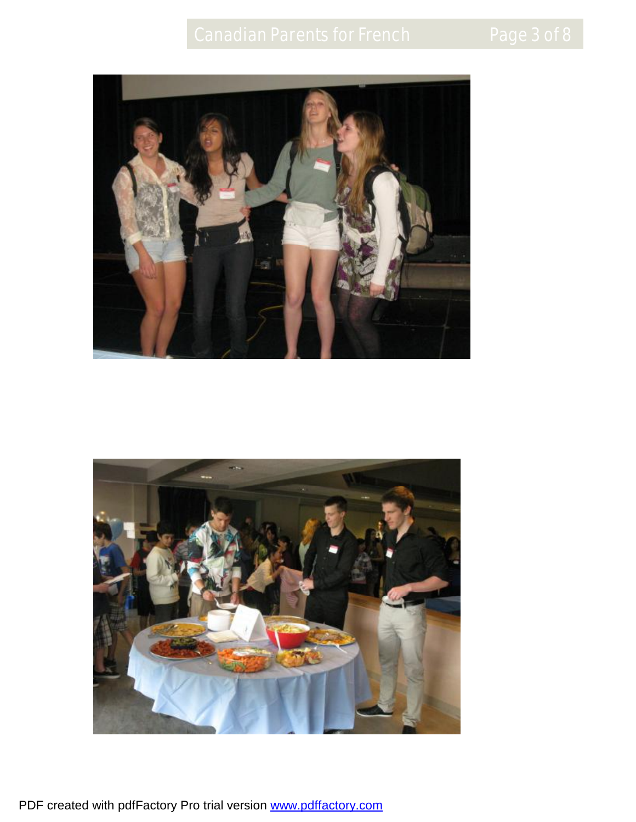

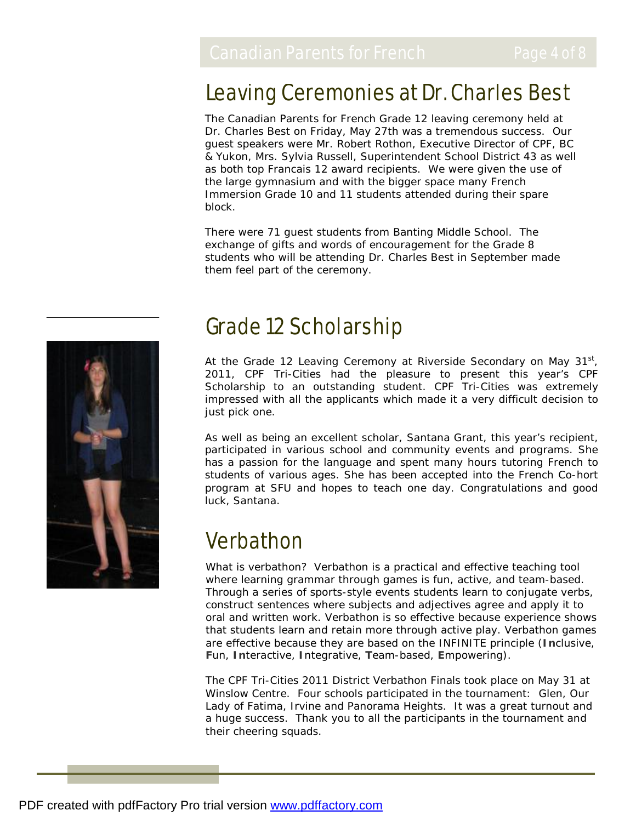### Leaving Ceremonies at Dr. Charles Best

The Canadian Parents for French Grade 12 leaving ceremony held at Dr. Charles Best on Friday, May 27th was a tremendous success. Our guest speakers were Mr. Robert Rothon, Executive Director of CPF, BC & Yukon, Mrs. Sylvia Russell, Superintendent School District 43 as well as both top Francais 12 award recipients. We were given the use of the large gymnasium and with the bigger space many French Immersion Grade 10 and 11 students attended during their spare block.

There were 71 guest students from Banting Middle School. The exchange of gifts and words of encouragement for the Grade 8 students who will be attending Dr. Charles Best in September made them feel part of the ceremony.

### Grade 12 Scholarship

At the Grade 12 Leaving Ceremony at Riverside Secondary on May 31<sup>st</sup>, 2011, CPF Tri-Cities had the pleasure to present this year's CPF Scholarship to an outstanding student. CPF Tri-Cities was extremely impressed with all the applicants which made it a very difficult decision to just pick one.

As well as being an excellent scholar, Santana Grant, this year's recipient, participated in various school and community events and programs. She has a passion for the language and spent many hours tutoring French to students of various ages. She has been accepted into the French Co-hort program at SFU and hopes to teach one day. Congratulations and good luck, Santana.

### Verbathon

What is verbathon? Verbathon is a practical and effective teaching tool where learning grammar through games is fun, active, and team-based. Through a series of sports-style events students learn to conjugate verbs, construct sentences where subjects and adjectives agree and apply it to oral and written work. Verbathon is so effective because experience shows that students learn and retain more through active play. Verbathon games are effective because they are based on the INFINITE principle (**In**clusive, **F**un, **In**teractive, **I**ntegrative, **T**eam-based, **E**mpowering).

The CPF Tri-Cities 2011 District Verbathon Finals took place on May 31 at Winslow Centre. Four schools participated in the tournament: Glen, Our Lady of Fatima, Irvine and Panorama Heights. It was a great turnout and a huge success. Thank you to all the participants in the tournament and their cheering squads.

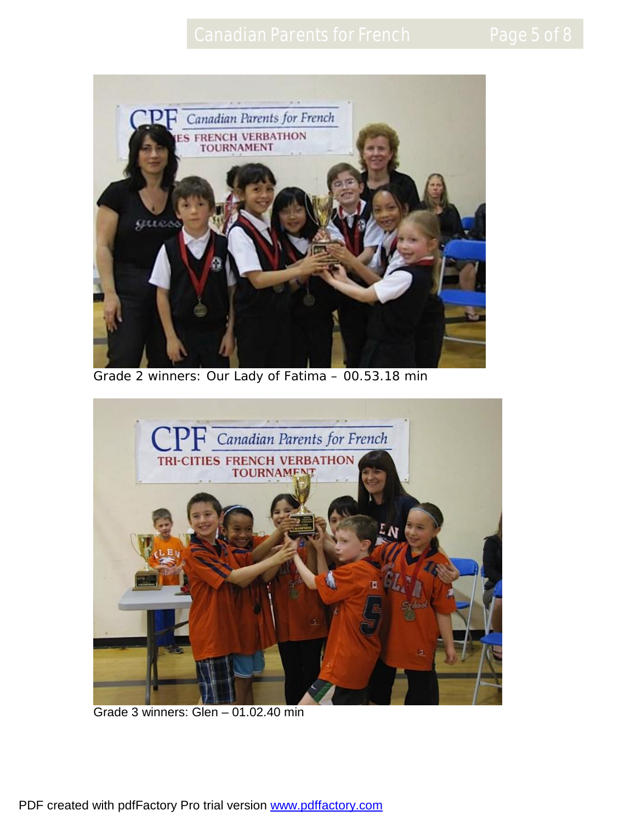



Grade 2 winners: Our Lady of Fatima – 00.53.18 min



Grade 3 winners: Glen – 01.02.40 min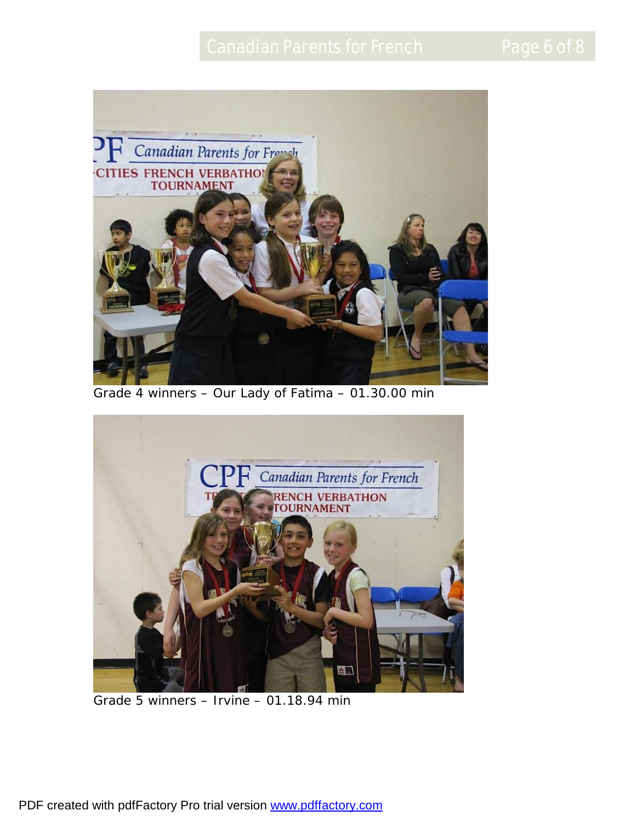



Grade 4 winners – Our Lady of Fatima – 01.30.00 min



Grade 5 winners – Irvine – 01.18.94 min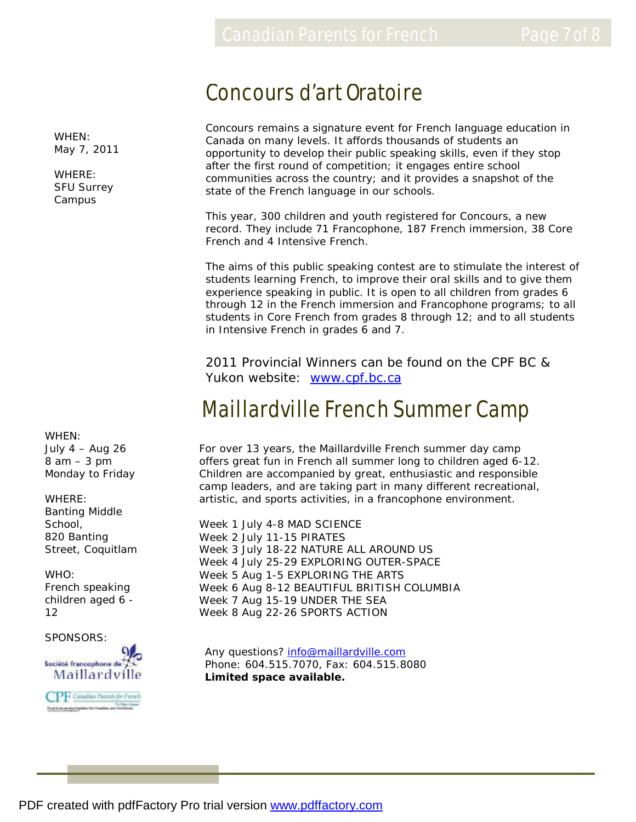### Canadian Parents forFrench Concours d'art Oratoire

WHEN: May 7, 2011

WHERE: SFU Surrey Campus

WHEN: July 4 – Aug 26 8 am – 3 pm Monday to Friday

### WHERE: Banting Middle School, 820 Banting

WHO: French speaking children aged 6 - 12

Street, Coquitlam

SPONSORS:



Concours remains a signature event for French language education in Canada on many levels. It affords thousands of students an opportunity to develop their public speaking skills, even if they stop after the first round of competition; it engages entire school communities across the country; and it provides a snapshot of the state of the French language in our schools.

This year, 300 children and youth registered for Concours, a new record. They include 71 Francophone, 187 French immersion, 38 Core French and 4 Intensive French.

The aims of this public speaking contest are to stimulate the interest of students learning French, to improve their oral skills and to give them experience speaking in public. It is open to all children from grades 6 through 12 in the French immersion and Francophone programs; to all students in Core French from grades 8 through 12; and to all students in Intensive French in grades 6 and 7.

2011 Provincial Winners can be found on the CPF BC & Yukon website: [www.cpf.bc.ca](http://www.cpf.bc.ca)

### Maillardville French Summer Camp

 For over 13 years, the Maillardville French summer day camp offers great fun in French all summer long to children aged 6-12. Children are accompanied by great, enthusiastic and responsible camp leaders, and are taking part in many different recreational, artistic, and sports activities, in a francophone environment.

 Week 1 July 4-8 MAD SCIENCE Week 2 July 11-15 PIRATES Week 3 July 18-22 NATURE ALL AROUND US Week 4 July 25-29 EXPLORING OUTER-SPACE Week 5 Aug 1-5 EXPLORING THE ARTS Week 6 Aug 8-12 BEAUTIFUL BRITISH COLUMBIA Week 7 Aug 15-19 UNDER THE SEA Week 8 Aug 22-26 SPORTS ACTION

Any questions? [info@maillardville.com](mailto:info@maillardville.com) Phone: 604.515.7070, Fax: 604.515.8080 **Limited space available.**